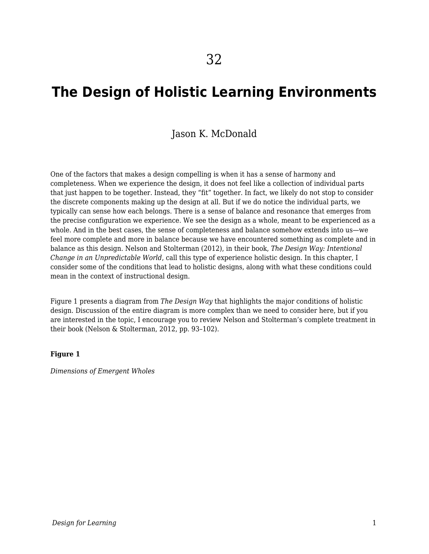# **The Design of Holistic Learning Environments**

### Jason K. McDonald

One of the factors that makes a design compelling is when it has a sense of harmony and completeness. When we experience the design, it does not feel like a collection of individual parts that just happen to be together. Instead, they "fit" together. In fact, we likely do not stop to consider the discrete components making up the design at all. But if we do notice the individual parts, we typically can sense how each belongs. There is a sense of balance and resonance that emerges from the precise configuration we experience. We see the design as a whole, meant to be experienced as a whole. And in the best cases, the sense of completeness and balance somehow extends into us—we feel more complete and more in balance because we have encountered something as complete and in balance as this design. Nelson and Stolterman (2012), in their book, *The Design Way: Intentional Change in an Unpredictable World*, call this type of experience holistic design. In this chapter, I consider some of the conditions that lead to holistic designs, along with what these conditions could mean in the context of instructional design.

Figure 1 presents a diagram from *The Design Way* that highlights the major conditions of holistic design. Discussion of the entire diagram is more complex than we need to consider here, but if you are interested in the topic, I encourage you to review Nelson and Stolterman's complete treatment in their book (Nelson & Stolterman, 2012, pp. 93–102).

#### **Figure 1**

*Dimensions of Emergent Wholes*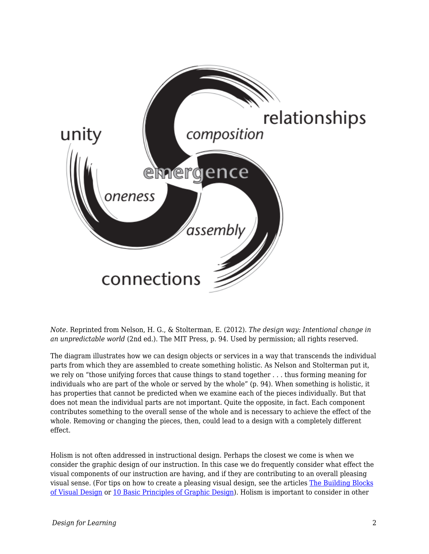

*Note.* Reprinted from Nelson, H. G., & Stolterman, E. (2012). *The design way: Intentional change in an unpredictable world* (2nd ed.). The MIT Press, p. 94. Used by permission; all rights reserved.

The diagram illustrates how we can design objects or services in a way that transcends the individual parts from which they are assembled to create something holistic. As Nelson and Stolterman put it, we rely on "those unifying forces that cause things to stand together . . . thus forming meaning for individuals who are part of the whole or served by the whole" (p. 94). When something is holistic, it has properties that cannot be predicted when we examine each of the pieces individually. But that does not mean the individual parts are not important. Quite the opposite, in fact. Each component contributes something to the overall sense of the whole and is necessary to achieve the effect of the whole. Removing or changing the pieces, then, could lead to a design with a completely different effect.

Holism is not often addressed in instructional design. Perhaps the closest we come is when we consider the graphic design of our instruction. In this case we do frequently consider what effect the visual components of our instruction are having, and if they are contributing to an overall pleasing visual sense. (For tips on how to create a pleasing visual design, see the articles [The Building Blocks](https://www.interaction-design.org/literature/article/the-building-blocks-of-visual-design) [of Visual Design](https://www.interaction-design.org/literature/article/the-building-blocks-of-visual-design) or [10 Basic Principles of Graphic Design\)](https://medium.com/@anahatrawal/10-basic-principles-of-graphic-design-b74be0dbdb58). Holism is important to consider in other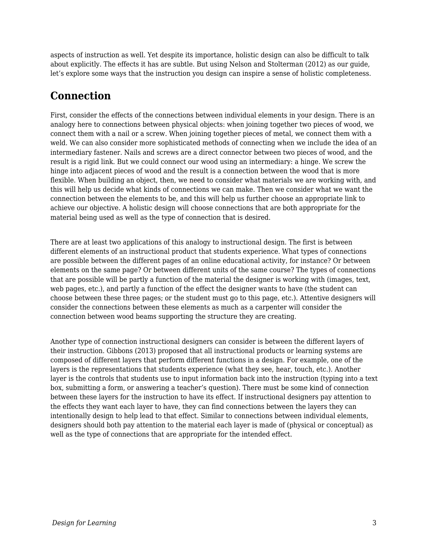aspects of instruction as well. Yet despite its importance, holistic design can also be difficult to talk about explicitly. The effects it has are subtle. But using Nelson and Stolterman (2012) as our guide, let's explore some ways that the instruction you design can inspire a sense of holistic completeness.

## **Connection**

First, consider the effects of the connections between individual elements in your design. There is an analogy here to connections between physical objects: when joining together two pieces of wood, we connect them with a nail or a screw. When joining together pieces of metal, we connect them with a weld. We can also consider more sophisticated methods of connecting when we include the idea of an intermediary fastener. Nails and screws are a direct connector between two pieces of wood, and the result is a rigid link. But we could connect our wood using an intermediary: a hinge. We screw the hinge into adjacent pieces of wood and the result is a connection between the wood that is more flexible. When building an object, then, we need to consider what materials we are working with, and this will help us decide what kinds of connections we can make. Then we consider what we want the connection between the elements to be, and this will help us further choose an appropriate link to achieve our objective. A holistic design will choose connections that are both appropriate for the material being used as well as the type of connection that is desired.

There are at least two applications of this analogy to instructional design. The first is between different elements of an instructional product that students experience. What types of connections are possible between the different pages of an online educational activity, for instance? Or between elements on the same page? Or between different units of the same course? The types of connections that are possible will be partly a function of the material the designer is working with (images, text, web pages, etc.), and partly a function of the effect the designer wants to have (the student can choose between these three pages; or the student must go to this page, etc.). Attentive designers will consider the connections between these elements as much as a carpenter will consider the connection between wood beams supporting the structure they are creating.

Another type of connection instructional designers can consider is between the different layers of their instruction. Gibbons (2013) proposed that all instructional products or learning systems are composed of different layers that perform different functions in a design. For example, one of the layers is the representations that students experience (what they see, hear, touch, etc.). Another layer is the controls that students use to input information back into the instruction (typing into a text box, submitting a form, or answering a teacher's question). There must be some kind of connection between these layers for the instruction to have its effect. If instructional designers pay attention to the effects they want each layer to have, they can find connections between the layers they can intentionally design to help lead to that effect. Similar to connections between individual elements, designers should both pay attention to the material each layer is made of (physical or conceptual) as well as the type of connections that are appropriate for the intended effect.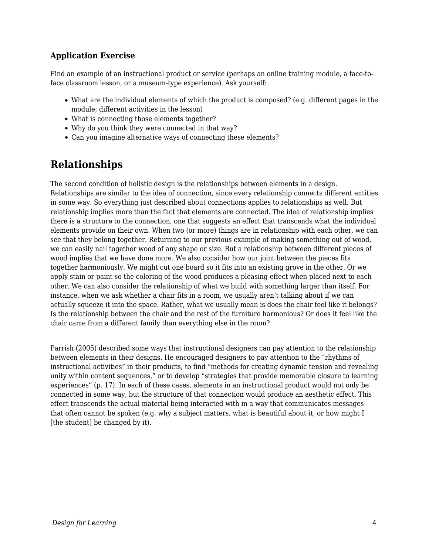### **Application Exercise**

Find an example of an instructional product or service (perhaps an online training module, a face-toface classroom lesson, or a museum-type experience). Ask yourself:

- What are the individual elements of which the product is composed? (e.g. different pages in the module; different activities in the lesson)
- What is connecting those elements together?
- Why do you think they were connected in that way?
- Can you imagine alternative ways of connecting these elements?

## **Relationships**

The second condition of holistic design is the relationships between elements in a design. Relationships are similar to the idea of connection, since every relationship connects different entities in some way. So everything just described about connections applies to relationships as well. But relationship implies more than the fact that elements are connected. The idea of relationship implies there is a structure to the connection, one that suggests an effect that transcends what the individual elements provide on their own. When two (or more) things are in relationship with each other, we can see that they belong together. Returning to our previous example of making something out of wood, we can easily nail together wood of any shape or size. But a relationship between different pieces of wood implies that we have done more. We also consider how our joint between the pieces fits together harmoniously. We might cut one board so it fits into an existing grove in the other. Or we apply stain or paint so the coloring of the wood produces a pleasing effect when placed next to each other. We can also consider the relationship of what we build with something larger than itself. For instance, when we ask whether a chair fits in a room, we usually aren't talking about if we can actually squeeze it into the space. Rather, what we usually mean is does the chair feel like it belongs? Is the relationship between the chair and the rest of the furniture harmonious? Or does it feel like the chair came from a different family than everything else in the room?

Parrish (2005) described some ways that instructional designers can pay attention to the relationship between elements in their designs. He encouraged designers to pay attention to the "rhythms of instructional activities" in their products, to find "methods for creating dynamic tension and revealing unity within content sequences," or to develop "strategies that provide memorable closure to learning experiences" (p. 17). In each of these cases, elements in an instructional product would not only be connected in some way, but the structure of that connection would produce an aesthetic effect. This effect transcends the actual material being interacted with in a way that communicates messages that often cannot be spoken (e.g. why a subject matters, what is beautiful about it, or how might I [the student] be changed by it).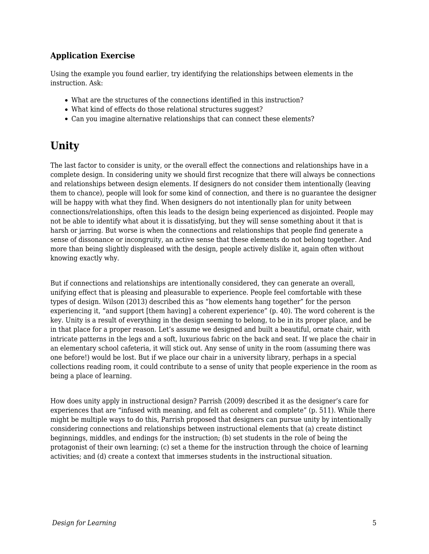#### **Application Exercise**

Using the example you found earlier, try identifying the relationships between elements in the instruction. Ask:

- What are the structures of the connections identified in this instruction?
- What kind of effects do those relational structures suggest?
- Can you imagine alternative relationships that can connect these elements?

### **Unity**

The last factor to consider is unity, or the overall effect the connections and relationships have in a complete design. In considering unity we should first recognize that there will always be connections and relationships between design elements. If designers do not consider them intentionally (leaving them to chance), people will look for some kind of connection, and there is no guarantee the designer will be happy with what they find. When designers do not intentionally plan for unity between connections/relationships, often this leads to the design being experienced as disjointed. People may not be able to identify what about it is dissatisfying, but they will sense something about it that is harsh or jarring. But worse is when the connections and relationships that people find generate a sense of dissonance or incongruity, an active sense that these elements do not belong together. And more than being slightly displeased with the design, people actively dislike it, again often without knowing exactly why.

But if connections and relationships are intentionally considered, they can generate an overall, unifying effect that is pleasing and pleasurable to experience. People feel comfortable with these types of design. Wilson (2013) described this as "how elements hang together" for the person experiencing it, "and support [them having] a coherent experience" (p. 40). The word coherent is the key. Unity is a result of everything in the design seeming to belong, to be in its proper place, and be in that place for a proper reason. Let's assume we designed and built a beautiful, ornate chair, with intricate patterns in the legs and a soft, luxurious fabric on the back and seat. If we place the chair in an elementary school cafeteria, it will stick out. Any sense of unity in the room (assuming there was one before!) would be lost. But if we place our chair in a university library, perhaps in a special collections reading room, it could contribute to a sense of unity that people experience in the room as being a place of learning.

How does unity apply in instructional design? Parrish (2009) described it as the designer's care for experiences that are "infused with meaning, and felt as coherent and complete" (p. 511). While there might be multiple ways to do this, Parrish proposed that designers can pursue unity by intentionally considering connections and relationships between instructional elements that (a) create distinct beginnings, middles, and endings for the instruction; (b) set students in the role of being the protagonist of their own learning; (c) set a theme for the instruction through the choice of learning activities; and (d) create a context that immerses students in the instructional situation.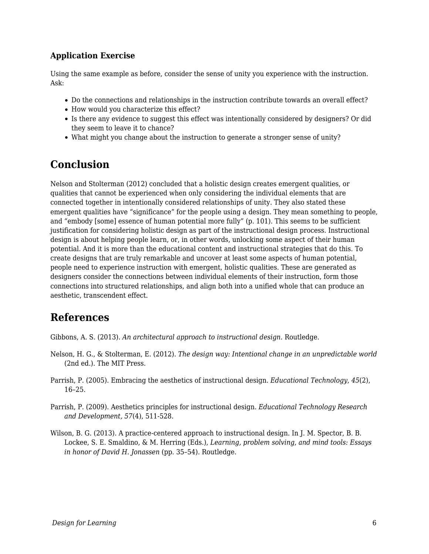#### **Application Exercise**

Using the same example as before, consider the sense of unity you experience with the instruction. Ask:

- Do the connections and relationships in the instruction contribute towards an overall effect?
- How would you characterize this effect?
- Is there any evidence to suggest this effect was intentionally considered by designers? Or did they seem to leave it to chance?
- What might you change about the instruction to generate a stronger sense of unity?

### **Conclusion**

Nelson and Stolterman (2012) concluded that a holistic design creates emergent qualities, or qualities that cannot be experienced when only considering the individual elements that are connected together in intentionally considered relationships of unity. They also stated these emergent qualities have "significance" for the people using a design. They mean something to people, and "embody [some] essence of human potential more fully" (p. 101). This seems to be sufficient justification for considering holistic design as part of the instructional design process. Instructional design is about helping people learn, or, in other words, unlocking some aspect of their human potential. And it is more than the educational content and instructional strategies that do this. To create designs that are truly remarkable and uncover at least some aspects of human potential, people need to experience instruction with emergent, holistic qualities. These are generated as designers consider the connections between individual elements of their instruction, form those connections into structured relationships, and align both into a unified whole that can produce an aesthetic, transcendent effect.

### **References**

Gibbons, A. S. (2013). *An architectural approach to instructional design*. Routledge.

- Nelson, H. G., & Stolterman, E. (2012). *The design way: Intentional change in an unpredictable world* (2nd ed.). The MIT Press.
- Parrish, P. (2005). Embracing the aesthetics of instructional design. *Educational Technology, 45*(2), 16–25.
- Parrish, P. (2009). Aesthetics principles for instructional design. *Educational Technology Research and Development, 57*(4), 511-528.
- Wilson, B. G. (2013). A practice-centered approach to instructional design. In J. M. Spector, B. B. Lockee, S. E. Smaldino, & M. Herring (Eds.), *Learning, problem solving, and mind tools: Essays in honor of David H. Jonassen* (pp. 35–54). Routledge.